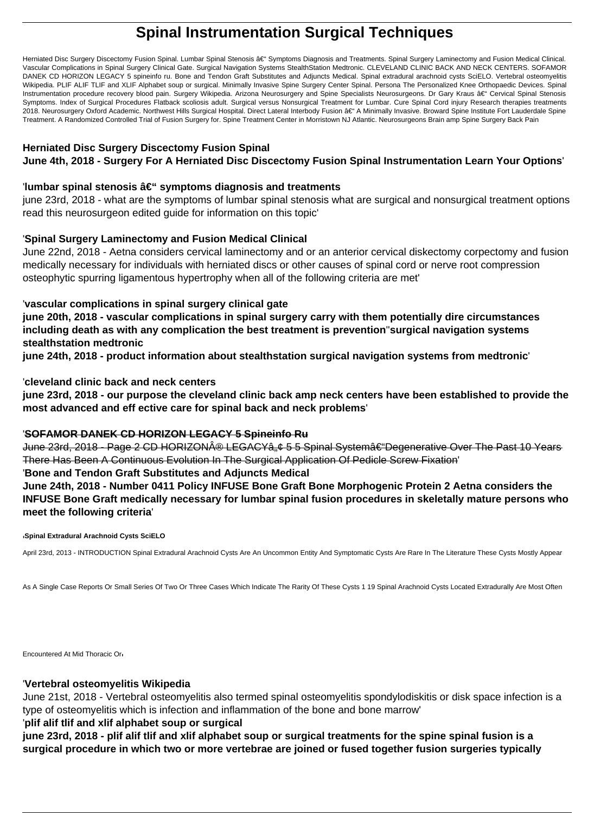# **Spinal Instrumentation Surgical Techniques**

Herniated Disc Surgery Discectomy Fusion Spinal. Lumbar Spinal Stenosis – Symptoms Diagnosis and Treatments. Spinal Surgery Laminectomy and Fusion Medical Clinical. Vascular Complications in Spinal Surgery Clinical Gate. Surgical Navigation Systems StealthStation Medtronic. CLEVELAND CLINIC BACK AND NECK CENTERS. SOFAMOR DANEK CD HORIZON LEGACY 5 spineinfo ru. Bone and Tendon Graft Substitutes and Adjuncts Medical. Spinal extradural arachnoid cysts SciELO. Vertebral osteomyelitis Wikipedia. PLIF ALIF TLIF and XLIF Alphabet soup or surgical. Minimally Invasive Spine Surgery Center Spinal. Persona The Personalized Knee Orthopaedic Devices. Spinal Instrumentation procedure recovery blood pain. Surgery Wikipedia. Arizona Neurosurgery and Spine Specialists Neurosurgeons. Dr Gary Kraus – Cervical Spinal Stenosis Symptoms. Index of Surgical Procedures Flatback scoliosis adult. Surgical versus Nonsurgical Treatment for Lumbar. Cure Spinal Cord injury Research therapies treatments 2018. Neurosurgery Oxford Academic. Northwest Hills Surgical Hospital. Direct Lateral Interbody Fusion – A Minimally Invasive. Broward Spine Institute Fort Lauderdale Spine Treatment. A Randomized Controlled Trial of Fusion Surgery for. Spine Treatment Center in Morristown NJ Atlantic. Neurosurgeons Brain amp Spine Surgery Back Pain

# **Herniated Disc Surgery Discectomy Fusion Spinal**

**June 4th, 2018 - Surgery For A Herniated Disc Discectomy Fusion Spinal Instrumentation Learn Your Options**'

#### 'lumbar spinal stenosis â€" symptoms diagnosis and treatments

june 23rd, 2018 - what are the symptoms of lumbar spinal stenosis what are surgical and nonsurgical treatment options read this neurosurgeon edited guide for information on this topic'

### '**Spinal Surgery Laminectomy and Fusion Medical Clinical**

June 22nd, 2018 - Aetna considers cervical laminectomy and or an anterior cervical diskectomy corpectomy and fusion medically necessary for individuals with herniated discs or other causes of spinal cord or nerve root compression osteophytic spurring ligamentous hypertrophy when all of the following criteria are met'

### '**vascular complications in spinal surgery clinical gate**

**june 20th, 2018 - vascular complications in spinal surgery carry with them potentially dire circumstances including death as with any complication the best treatment is prevention**''**surgical navigation systems stealthstation medtronic**

**june 24th, 2018 - product information about stealthstation surgical navigation systems from medtronic**'

### '**cleveland clinic back and neck centers**

**june 23rd, 2018 - our purpose the cleveland clinic back amp neck centers have been established to provide the most advanced and eff ective care for spinal back and neck problems**'

#### '**SOFAMOR DANEK CD HORIZON LEGACY 5 Spineinfo Ru**

June 23rd, 2018 - Page 2 CD HORIZON® LEGACYâ"¢ 5 5 Spinal System†"Degenerative Over The Past 10 Years There Has Been A Continuous Evolution In The Surgical Application Of Pedicle Screw Fixation'

#### '**Bone and Tendon Graft Substitutes and Adjuncts Medical**

**June 24th, 2018 - Number 0411 Policy INFUSE Bone Graft Bone Morphogenic Protein 2 Aetna considers the INFUSE Bone Graft medically necessary for lumbar spinal fusion procedures in skeletally mature persons who meet the following criteria**'

#### '**Spinal Extradural Arachnoid Cysts SciELO**

April 23rd, 2013 - INTRODUCTION Spinal Extradural Arachnoid Cysts Are An Uncommon Entity And Symptomatic Cysts Are Rare In The Literature These Cysts Mostly Appear

As A Single Case Reports Or Small Series Of Two Or Three Cases Which Indicate The Rarity Of These Cysts 1 19 Spinal Arachnoid Cysts Located Extradurally Are Most Often

Encountered At Mid Thoracic Or'

#### '**Vertebral osteomyelitis Wikipedia**

June 21st, 2018 - Vertebral osteomyelitis also termed spinal osteomyelitis spondylodiskitis or disk space infection is a type of osteomyelitis which is infection and inflammation of the bone and bone marrow'

#### '**plif alif tlif and xlif alphabet soup or surgical**

**june 23rd, 2018 - plif alif tlif and xlif alphabet soup or surgical treatments for the spine spinal fusion is a surgical procedure in which two or more vertebrae are joined or fused together fusion surgeries typically**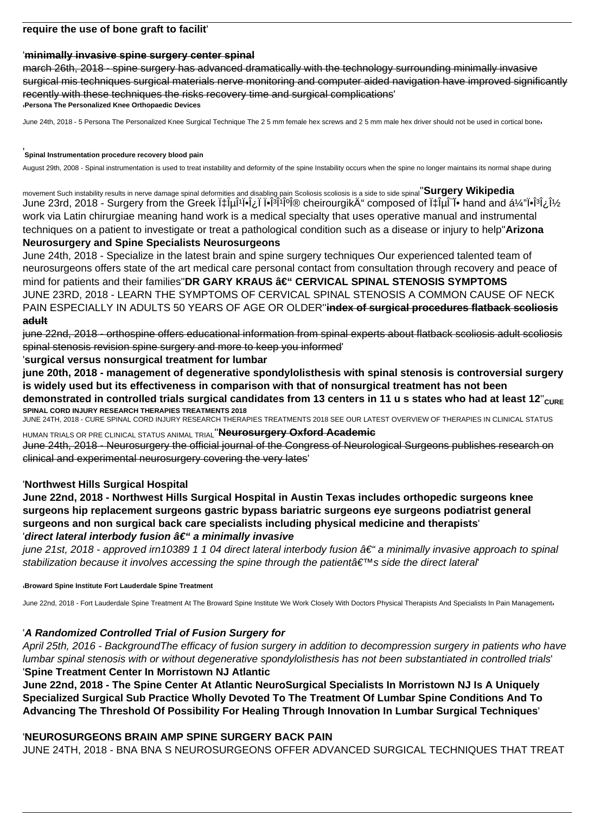# **require the use of bone graft to facilit**'

# '**minimally invasive spine surgery center spinal**

march 26th, 2018 - spine surgery has advanced dramatically with the technology surrounding minimally invasive surgical mis techniques surgical materials nerve monitoring and computer aided navigation have improved significantly recently with these techniques the risks recovery time and surgical complications' '**Persona The Personalized Knee Orthopaedic Devices**

June 24th, 2018 - 5 Persona The Personalized Knee Surgical Technique The 25 mm female hex screws and 25 mm male hex driver should not be used in cortical bone

#### '**Spinal Instrumentation procedure recovery blood pain**

August 29th, 2008 - Spinal instrumentation is used to treat instability and deformity of the spine Instability occurs when the spine no longer maintains its normal shape during

movement Such instability results in nerve damage spinal deformities and disabling pain Scoliosis scoliosis is a side to side spinal''**Surgery Wikipedia** June 23rd, 2018 - Surgery from the Greek ·ÎµÎ<sup>1</sup>ΕοΠΕÎ<sup>3</sup>Î<sup>1</sup>κή cheirourgik" composed of ·ÎµÎ<sup>−</sup>Ε hand and á¼ "ΕÎ<sup>3</sup>ν work via Latin chirurgiae meaning hand work is a medical specialty that uses operative manual and instrumental techniques on a patient to investigate or treat a pathological condition such as a disease or injury to help''**Arizona**

### **Neurosurgery and Spine Specialists Neurosurgeons**

June 24th, 2018 - Specialize in the latest brain and spine surgery techniques Our experienced talented team of neurosurgeons offers state of the art medical care personal contact from consultation through recovery and peace of mind for patients and their families"DR GARY KRAUS – CERVICAL SPINAL STENOSIS SYMPTOMS JUNE 23RD, 2018 - LEARN THE SYMPTOMS OF CERVICAL SPINAL STENOSIS A COMMON CAUSE OF NECK PAIN ESPECIALLY IN ADULTS 50 YEARS OF AGE OR OLDER''**index of surgical procedures flatback scoliosis adult**

june 22nd, 2018 - orthospine offers educational information from spinal experts about flatback scoliosis adult scoliosis spinal stenosis revision spine surgery and more to keep you informed'

### '**surgical versus nonsurgical treatment for lumbar**

**june 20th, 2018 - management of degenerative spondylolisthesis with spinal stenosis is controversial surgery is widely used but its effectiveness in comparison with that of nonsurgical treatment has not been** demonstrated in controlled trials surgical candidates from 13 centers in 11 u s states who had at least 12"<sub>CURE</sub> **SPINAL CORD INJURY RESEARCH THERAPIES TREATMENTS 2018**

JUNE 24TH, 2018 - CURE SPINAL CORD INJURY RESEARCH THERAPIES TREATMENTS 2018 SEE OUR LATEST OVERVIEW OF THERAPIES IN CLINICAL STATUS

HUMAN TRIALS OR PRE CLINICAL STATUS ANIMAL TRIAL''**Neurosurgery Oxford Academic**

June 24th, 2018 - Neurosurgery the official journal of the Congress of Neurological Surgeons publishes research on clinical and experimental neurosurgery covering the very lates'

# '**Northwest Hills Surgical Hospital**

**June 22nd, 2018 - Northwest Hills Surgical Hospital in Austin Texas includes orthopedic surgeons knee surgeons hip replacement surgeons gastric bypass bariatric surgeons eye surgeons podiatrist general surgeons and non surgical back care specialists including physical medicine and therapists**' 'direct lateral interbody fusion â€<sup>"</sup> a minimally invasive

june 21st, 2018 - approved irn10389 1 1 04 direct lateral interbody fusion  $\hat{a}\epsilon$ " a minimally invasive approach to spinal stabilization because it involves accessing the spine through the patienta  $\epsilon^{m}$ s side the direct lateral

#### '**Broward Spine Institute Fort Lauderdale Spine Treatment**

June 22nd, 2018 - Fort Lauderdale Spine Treatment At The Broward Spine Institute We Work Closely With Doctors Physical Therapists And Specialists In Pain Managementri

# '**A Randomized Controlled Trial of Fusion Surgery for**

April 25th, 2016 - BackgroundThe efficacy of fusion surgery in addition to decompression surgery in patients who have lumbar spinal stenosis with or without degenerative spondylolisthesis has not been substantiated in controlled trials' '**Spine Treatment Center In Morristown NJ Atlantic**

**June 22nd, 2018 - The Spine Center At Atlantic NeuroSurgical Specialists In Morristown NJ Is A Uniquely Specialized Surgical Sub Practice Wholly Devoted To The Treatment Of Lumbar Spine Conditions And To Advancing The Threshold Of Possibility For Healing Through Innovation In Lumbar Surgical Techniques**'

#### '**NEUROSURGEONS BRAIN AMP SPINE SURGERY BACK PAIN**

JUNE 24TH, 2018 - BNA BNA S NEUROSURGEONS OFFER ADVANCED SURGICAL TECHNIQUES THAT TREAT